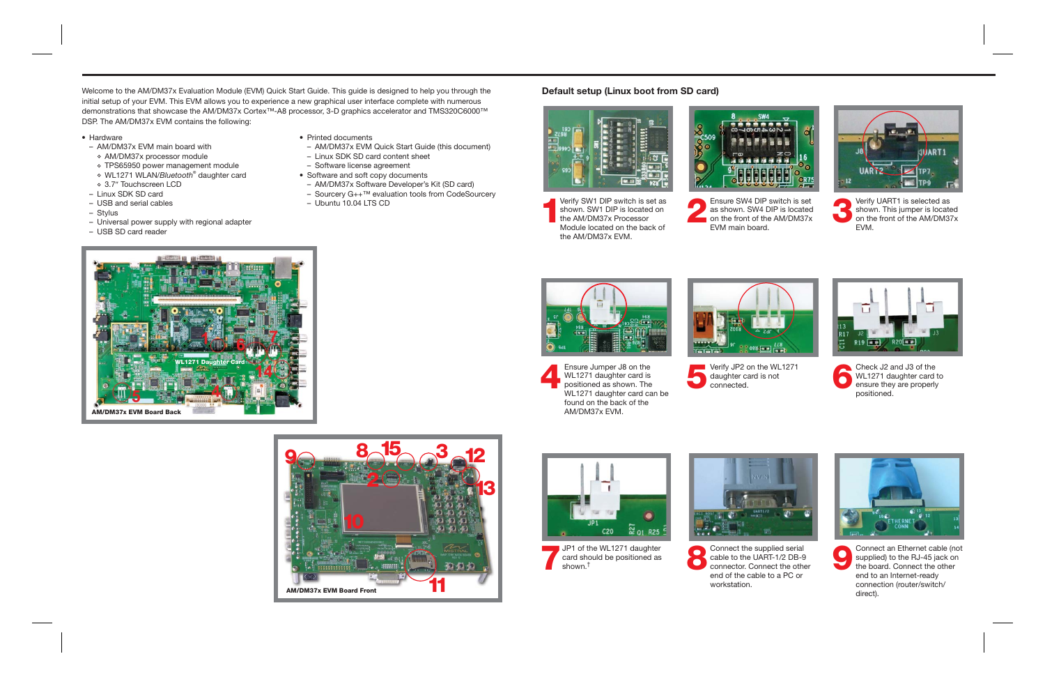**1**Verify SW1 DIP switch is set as shown. SW1 DIP is located on the AM/DM37x Processor Module located on the back ofthe AM/DM37x EVM.

Welcome to the AM/DM37x Evaluation Module (EVM) Quick Start Guide. This guide is designed to help you through the initial setup of your EVM. This EVM allows you to experience a new graphical user interface complete with numerous demonstrations that showcase the AM/DM37x Cortex™-A8 processor, 3-D graphics accelerator and TMS320C6000™ DSP. The AM/DM37x EVM contains the following:



**3**Shown. SW4 DIP switch is set as shown. This jumper is located on the front of the AM/DM37x **2**on the front of the AM/DM37x EVM.







supplied) to the RJ-45 jack on<br>the board. Connect the other Connect an Ethernet cable (not supplied) to the RJ-45 jack on end to an Internet-ready connection (router/switch/ direct).



**8** Connect the supplied serial<br>cable to the UART-1/2 DB-9<br>connector. Connect the other Connect the supplied serial<br>cable to the UART-1/2 DB-9 end of the cable to a PC orworkstation.

## **Default setup (Linux boot from SD card)**





Ensure Jumper J8 on the Verify JP2 on the WL1271 WL1271 daughter card is not positioned as shown. The connected. WL1271 daughter card is WL1271 daughter card can be found on the back of the AM/DM37x EVM.













 $C20$ 

 $\approx 01$  R25

- Hardware
- AM/DM37x EVM main board with
- AM/DM37x processor module
- TPS65950 power management module •
- <sup>o</sup> WL1271 WLAN/Bluetooth<sup>®</sup> daughter card
- $\circ\,$  3.7″ Touchscreen LCD
- Linux SDK SD card
- USB and serial cables
- Stylus
- Universal power supply with regional adapter
- USB SD card reader
- Printed documents
- AM/DM37x EVM Quick Start Guide (this document)
- Linux SDK SD card content sheet
- Software license agreement
- Software and soft copy documents
- AM/DM37x Software Developer's Kit (SD card)
- Sourcery G++™ evaluation tools from CodeSourcery
- Ubuntu 10.04 LTS CD